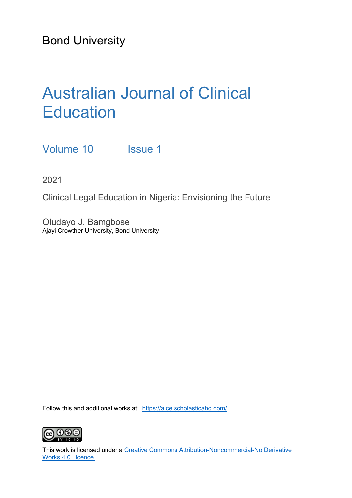Bond University

# Australian Journal of Clinical **Education**

Volume 10 Issue 1

2021

Clinical Legal Education in Nigeria: Envisioning the Future

Oludayo J. Bamgbose Ajayi Crowther University, Bond University

Follow this and additional works at: <https://ajce.scholasticahq.com/>



This work is licensed under a [Creative Commons Attribution-Noncommercial-No Derivative](https://creativecommons.org/licenses/by/4.0/)  [Works 4.0 Licence.](https://creativecommons.org/licenses/by/4.0/)

\_\_\_\_\_\_\_\_\_\_\_\_\_\_\_\_\_\_\_\_\_\_\_\_\_\_\_\_\_\_\_\_\_\_\_\_\_\_\_\_\_\_\_\_\_\_\_\_\_\_\_\_\_\_\_\_\_\_\_\_\_\_\_\_\_\_\_\_\_\_\_\_\_\_\_\_\_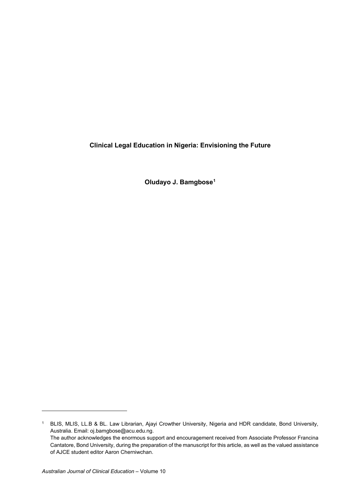**Clinical Legal Education in Nigeria: Envisioning the Future**

**Oludayo J. Bamgbose[1](#page-1-0)**

<span id="page-1-0"></span><sup>1</sup> BLIS, MLIS, LL.B & BL. Law Librarian, Ajayi Crowther University, Nigeria and HDR candidate, Bond University, Australia. Email: oj.bamgbose@acu.edu.ng. The author acknowledges the enormous support and encouragement received from Associate Professor Francina Cantatore, Bond University, during the preparation of the manuscript for this article, as well as the valued assistance of AJCE student editor Aaron Cherniwchan.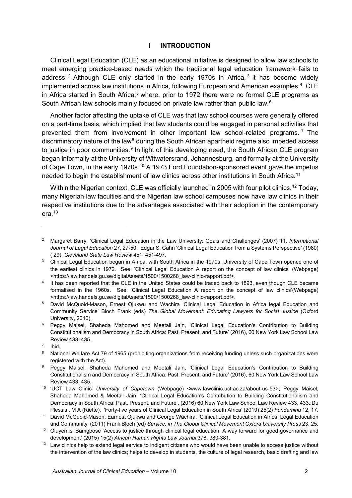#### **I INTRODUCTION**

Clinical Legal Education (CLE) as an educational initiative is designed to allow law schools to meet emerging practice-based needs which the traditional legal education framework fails to address.<sup>[2](#page-2-0)</sup> Although CLE only started in the early 1970s in Africa,  $3$  it has become widely implemented across law institutions in Africa, following European and American examples. [4](#page-2-2) CLE in Africa started in South Africa;<sup>[5](#page-2-3)</sup> where, prior to 1972 there were no formal CLE programs as South African law schools mainly focused on private law rather than public law.<sup>[6](#page-2-4)</sup>

Another factor affecting the uptake of CLE was that law school courses were generally offered on a part-time basis, which implied that law students could be engaged in personal activities that prevented them from involvement in other important law school-related programs.<sup>[7](#page-2-5)</sup> The discriminatory nature of the law<sup>[8](#page-2-6)</sup> during the South African apartheid regime also impeded access to justice in poor communities. [9](#page-2-7) In light of this developing need, the South African CLE program began informally at the University of Witwatersrand, Johannesburg, and formally at the University of Cape Town, in the early 1970s.<sup>[10](#page-2-8)</sup> A 1973 Ford Foundation-sponsored event gave the impetus needed to begin the establishment of law clinics across other institutions in South Africa.<sup>[11](#page-2-9)</sup>

Within the Nigerian context, CLE was officially launched in 2005 with four pilot clinics. $^{12}$  $^{12}$  $^{12}$  Today, many Nigerian law faculties and the Nigerian law school campuses now have law clinics in their respective institutions due to the advantages associated with their adoption in the contemporary era. $13$ 

<span id="page-2-0"></span><sup>2</sup> Margaret Barry, 'Clinical Legal Education in the Law University: Goals and Challenges' (2007) 11, *International Journal of Legal Education* 27, 27-50. Edgar S. Cahn 'Clinical Legal Education from a Systems Perspective' (1980) ( 29), *Cleveland State Law Review* 451, 451-497.

<span id="page-2-1"></span><sup>&</sup>lt;sup>3</sup> Clinical Legal Education began in Africa, with South Africa in the 1970s. University of Cape Town opened one of the earliest clinics in 1972. See: 'Clinical Legal Education A report on the concept of law clinics' (Webpage) <https://law.handels.gu.se/digitalAssets/1500/1500268\_law-clinic-rapport.pdf>.

<span id="page-2-2"></span><sup>&</sup>lt;sup>4</sup> It has been reported that the CLE in the United States could be traced back to 1893, even though CLE became formalised in the 1960s. See: 'Clinical Legal Education A report on the concept of law clinics'(Webpage) <https://law.handels.gu.se/digitalAssets/1500/1500268\_law-clinic-rapport.pdf>.

<span id="page-2-3"></span><sup>5</sup> David McQuoid-Mason, Ernest Ojukwu and Wachira 'Clinical Legal Education in Africa legal Education and Community Service' Bloch Frank (eds) *The Global Movement: Educating Lawyers for Social Justice* (Oxford University, 2010).

<span id="page-2-4"></span><sup>6</sup> Peggy Maisel, Shaheda Mahomed and Meetali Jain, 'Clinical Legal Education's Contribution to Building Constitutionalism and Democracy in South Africa: Past, Present, and Future' (2016), 60 New York Law School Law Review 433, 435.

<span id="page-2-5"></span> $<sup>7</sup>$  Ibid.<br> $<sup>8</sup>$  Natio</sup></sup>

<span id="page-2-6"></span>National Welfare Act 79 of 1965 (prohibiting organizations from receiving funding unless such organizations were registered with the Act).

<span id="page-2-7"></span><sup>9</sup> Peggy Maisel, Shaheda Mahomed and Meetali Jain, 'Clinical Legal Education's Contribution to Building Constitutionalism and Democracy in South Africa: Past, Present, and Future' (2016), 60 New York Law School Law Review 433, 435.

<span id="page-2-8"></span><sup>10</sup> 'UCT Law Clinic' *University of Capetown* (Webpage) <www.lawclinic.uct.ac.za/about-us-53>; Peggy Maisel, Shaheda Mahomed & Meetali Jain, 'Clinical Legal Education's Contribution to Building Constitutionalism and Democracy in South Africa: Past, Present, and Future', (2016) 60 New York Law School Law Review 433, 433.;Du

<span id="page-2-9"></span>Plessis , M A (Riette), 'Forty-five years of Clinical Legal Education in South Africa' (2019) 25(2) Fundamina 12, 17.<br><sup>11</sup> David McQuoid-Mason, Earnest Ojukwu and George Wachira, 'Clinical Legal Education in Africa: Legal and Community' (2011) Frank Bloch (ed) *Service, in The Global Clinical Movement Oxford University Press* 23, 25.

<span id="page-2-10"></span><sup>&</sup>lt;sup>12</sup> Oluyemisi Bamgbose 'Access to justice through clinical legal education: A way forward for good governance and development' (2015) 15(2) *[African Human Rights Law Journal](http://www.scielo.org.za/scielo.php?script=sci_serial&pid=1996-2096&lng=en&nrm=iso)* 378, 380-381.

<span id="page-2-11"></span><sup>&</sup>lt;sup>13</sup> Law clinics help to extend legal service to indigent citizens who would have been unable to access justice without the intervention of the law clinics; helps to develop in students, the culture of legal research, basic drafting and law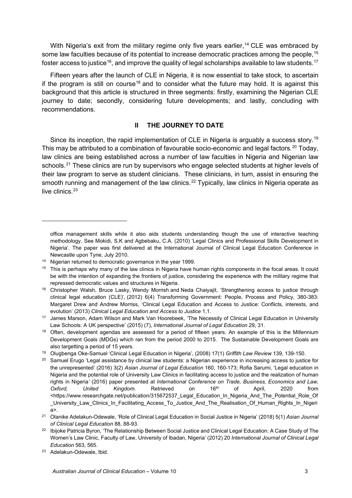With Nigeria's exit from the military regime only five years earlier,<sup>[14](#page-3-0)</sup> CLE was embraced by some law faculties because of its potential to increase democratic practices among the people,<sup>[15](#page-3-1)</sup> foster access to justice $^{\mathsf{16}}$ , and improve the quality of legal scholarships available to law students.  $^{\mathsf{17}}$  $^{\mathsf{17}}$  $^{\mathsf{17}}$ 

Fifteen years after the launch of CLE in Nigeria, it is now essential to take stock, to ascertain if the program is still on course<sup>[18](#page-3-4)</sup> and to consider what the future may hold. It is against this background that this article is structured in three segments: firstly, examining the Nigerian CLE journey to date; secondly, considering future developments; and lastly, concluding with recommendations.

#### **II THE JOURNEY TO DATE**

Since its inception, the rapid implementation of CLE in Nigeria is arguably a success story.<sup>[19](#page-3-5)</sup> This may be attributed to a combination of favourable socio-economic and legal factors.<sup>[20](#page-3-6)</sup> Today, law clinics are being established across a number of law faculties in Nigeria and Nigerian law schools.<sup>[21](#page-3-7)</sup> These clinics are run by supervisors who engage selected students at higher levels of their law program to serve as student clinicians. These clinicians, in turn, assist in ensuring the smooth running and management of the law clinics.<sup>[22](#page-3-8)</sup> Typically, law clinics in Nigeria operate as live clinics.<sup>[23](#page-3-9)</sup>

<span id="page-3-9"></span><sup>23</sup> Adelakun-Odewale, Ibid.

office management skills while it also aids students understanding though the use of interactive teaching methodology. See Mokidi, S.K and Agbebaku, C.A. (2010) 'Legal Clinics and Professional Skills Development in Nigeria'. The paper was first delivered at the International Journal of Clinical Legal Education Conference in Newcastle upon Tyne, July 2010.

<span id="page-3-0"></span><sup>14</sup> Nigerian returned to democratic governance in the year 1999.

<span id="page-3-1"></span><sup>&</sup>lt;sup>15</sup> This is perhaps why many of the law clinics in Nigeria have human rights components in the focal areas. It could be with the intention of expanding the frontiers of justice, considering the experience with the military regime that repressed democratic values and structures in Nigeria.

<span id="page-3-2"></span><sup>16</sup> Christopher [Walsh,](https://www.emerald.com/insight/search?q=Christopher%20Walsh) Bruce [Lasky,](https://www.emerald.com/insight/search?q=Bruce%20Lasky) Wendy [Morrish](https://www.emerald.com/insight/search?q=Wendy%20Morrish) and Neda [Chaiyajit,](https://www.emerald.com/insight/search?q=Nada%20Chaiyajit) 'Strengthening access to justice through clinical legal education (CLE)', (2012) 6(4) [Transforming Government: People, Process and Policy,](https://www.emerald.com/insight/publication/issn/1750-6166) 380-383: Margaret Drew and Andrew Morriss, 'Clinical Legal Education and Access to Justice: Conflicts, interests, and evolution' (2013) *Clinical Legal Education and Access to Justice* 1,1.

<span id="page-3-3"></span><sup>17</sup> James Marson, Adam Wilson and Mark Van Hoorebeek, 'The Necessity of Clinical Legal Education in University Law Schools: A UK perspective' (2015) (7), *International Journal of Legal Education* 29, 31.

<span id="page-3-4"></span><sup>&</sup>lt;sup>18</sup> Often, development agendas are assessed for a period of fifteen years. An example of this is the Millennium Development Goals (MDGs) which ran from the period 2000 to 2015. The Sustainable Development Goals are also targetting a period of 15 years.

<sup>19</sup> Olugbenga Oke-Samuel 'Clinical Legal Education in Nigeria', (2008) 17(1) *Griffith Law Review* 139, 139-150.

<span id="page-3-6"></span><span id="page-3-5"></span><sup>&</sup>lt;sup>20</sup> Samuel Erugo 'Legal assistance by clinical law students: a Nigerian experience in increasing access to justice for the unrepresented' (2016) 3(2) *Asian Journal of Legal Education* 160, 160-173; Rofia Sarumi, 'Legal education in Nigeria and the potential role of University Law Clinics in facilitating access to justice and the realization of human rights in Nigeria*'* (2016) paper presented at *International Conference on Trade, Business, Economics and Law, Oxford, United Kingdom.* Retrieved on 16th of April, 2020 from <https://www.researchgate.net/publication/315672537\_Legal\_Education\_In\_Nigeria\_And\_The\_Potential\_Role\_Of \_University\_Law\_Clinics\_In\_Facilitating\_Access\_To\_Justice\_And\_The\_Realisation\_Of\_Human\_Rights\_In\_Nigeri a>.

<span id="page-3-7"></span><sup>21</sup> Olanike Adelakun-Odewale, 'Role of Clinical Legal Education in Social Justice in Nigeria' (2018) 5(1) *Asian Journal of Clinical Legal Education* 88, 88-93.

<span id="page-3-8"></span><sup>&</sup>lt;sup>22</sup> Ibijoke Patricia Byron, 'The Relationship Between Social Justice and Clinical Legal Education: A Case Study of The Women's Law Clinic, Faculty of Law, University of Ibadan, Nigeria' (2012) 20 *International Journal of Clinical Legal Education* 563, 565.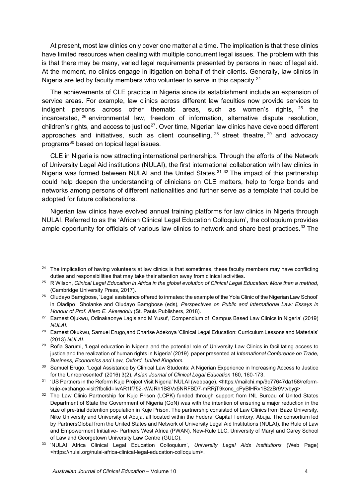At present, most law clinics only cover one matter at a time. The implication is that these clinics have limited resources when dealing with multiple concurrent legal issues. The problem with this is that there may be many, varied legal requirements presented by persons in need of legal aid. At the moment, no clinics engage in litigation on behalf of their clients. Generally, law clinics in Nigeria are led by faculty members who volunteer to serve in this capacity.<sup>[24](#page-4-0)</sup>

The achievements of CLE practice in Nigeria since its establishment include an expansion of service areas. For example, law clinics across different law faculties now provide services to indigent persons across other thematic areas, such as women's rights, [25](#page-4-1) the incarcerated, [26](#page-4-2) environmental law, freedom of information, alternative dispute resolution, children's rights, and access to justice<sup>27</sup>. Over time, Nigerian law clinics have developed different approaches and initiatives, such as client counselling,  $28$  street theatre,  $29$  and advocacy programs<sup>[30](#page-4-6)</sup> based on topical legal issues.

CLE in Nigeria is now attracting international partnerships. Through the efforts of the Network of University Legal Aid institutions (NULAI), the first international collaboration with law clinics in Nigeria was formed between NULAI and the United States.<sup>[31](#page-4-7) [32](#page-4-8)</sup> The impact of this partnership could help deepen the understanding of clinicians on CLE matters, help to forge bonds and networks among persons of different nationalities and further serve as a template that could be adopted for future collaborations.

Nigerian law clinics have evolved annual training platforms for law clinics in Nigeria through NULAI. Referred to as the 'African Clinical Legal Education Colloquium', the colloquium provides ample opportunity for officials of various law clinics to network and share best practices.<sup>[33](#page-4-9)</sup> The

<span id="page-4-0"></span> $24$  The implication of having volunteers at law clinics is that sometimes, these faculty members may have conflicting duties and responsibilities that may take their attention away from clinical activities. 25 R Wilson, *Clinical Legal Education in Africa in the global evolution of Clinical Legal Education: More than a method*,

<span id="page-4-1"></span><sup>(</sup>Cambridge University Press, 2017).

<span id="page-4-2"></span><sup>&</sup>lt;sup>26</sup> Oludayo Bamgbose, 'Legal assistance offered to inmates: the example of the Yola Clinic of the Nigerian Law School' in Oladipo Sholanke and Oludayo Bamgbose (eds), *Perspectives on Public and International Law: Essays in Honour of Prof. Alero E. Akeredolu* (St. Pauls Publishers, 2018).

<span id="page-4-3"></span><sup>&</sup>lt;sup>27</sup> Earnest Ojukwu, Odinakaonye Lagis and M Yusuf, 'Compendium of Campus Based Law Clinics in Nigeria' (2019) *NULAI.*

<span id="page-4-4"></span><sup>&</sup>lt;sup>28</sup> Earnest Okukwu, Samuel Erugo,and Charlse Adekoya 'Clinical Legal Education: Curriculum Lessons and Materials' (2013) *NULAI*.

<span id="page-4-5"></span><sup>&</sup>lt;sup>29</sup> Rofia Sarumi, 'Legal education in Nigeria and the potential role of University Law Clinics in facilitating access to justice and the realization of human rights in Nigeria' (2019) paper presented at *International Conference on Trade, Business, Economics and Law, Oxford, United Kingdom.*

<span id="page-4-6"></span><sup>&</sup>lt;sup>30</sup> Samuel Erugo, 'Legal Assistance by Clinical Law Students: A Nigerian Experience in Increasing Access to Justice for the Unrepresented' (2016) 3(2), *Asian Journal of Clinical Legal Education* 160, 160-173.

<span id="page-4-7"></span><sup>31</sup> 'US Partners in the Reform Kuje Project Visit Nigeria' NULAI (webpage), **<**[https://mailchi.mp/9c77647da158/reform](https://mailchi.mp/9c77647da158/reform-kuje-exchange-visit?fbclid=IwAR1lf752-kWJRh1BSVx5NRFBD7-mRRjT9konc_cPyBlHRv1B2zBr9Vtvbyg)[kuje-exchange-visit?fbclid=IwAR1lf752-kWJRh1BSVx5NRFBD7-mRRjT9konc\\_cPyBlHRv1B2zBr9Vtvbyg>](https://mailchi.mp/9c77647da158/reform-kuje-exchange-visit?fbclid=IwAR1lf752-kWJRh1BSVx5NRFBD7-mRRjT9konc_cPyBlHRv1B2zBr9Vtvbyg).

<span id="page-4-8"></span><sup>32</sup> The Law Clinic Partnership for Kuje Prison (LCPK) funded through support from INL Bureau of United States Department of State the Government of Nigeria (GoN) was with the intention of ensuring a major reduction in the size of pre-trial detention population in Kuje Prison. The partnership consisted of Law Clinics from Baze University, Nike University and University of Abuja, all located within the Federal Capital Territory, Abuja. The consortium led by PartnersGlobal from the United States and Network of University Legal Aid Institutions (NULAI), the Rule of Law and Empowerment Initiative- Partners West Africa (PWAN), New-Rule LLC, University of Maryl and Carey School of Law and Georgetown University Law Centre (GULC).

<span id="page-4-9"></span><sup>33</sup> 'NULAI Africa Clinical Legal Education Colloquium', *University Legal Aids Institutions* (Web Page) <https://nulai.org/nulai-africa-clinical-legal-education-colloquium>.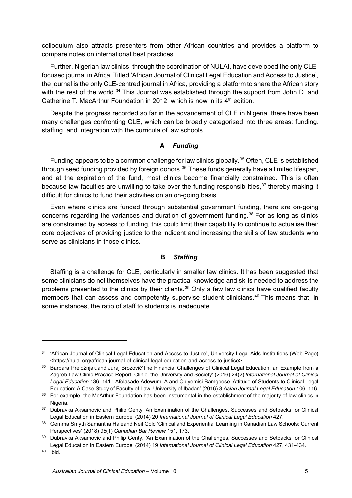colloquium also attracts presenters from other African countries and provides a platform to compare notes on international best practices.

Further, Nigerian law clinics, through the coordination of NULAI, have developed the only CLEfocused journal in Africa. Titled 'African Journal of Clinical Legal Education and Access to Justice', the journal is the only CLE-centred journal in Africa, providing a platform to share the African story with the rest of the world.<sup>[34](#page-5-0)</sup> This Journal was established through the support from John D. and Catherine T. MacArthur Foundation in 2012, which is now in its  $4<sup>th</sup>$  edition.

Despite the progress recorded so far in the advancement of CLE in Nigeria, there have been many challenges confronting CLE, which can be broadly categorised into three areas: funding, staffing, and integration with the curricula of law schools.

#### **A** *Funding*

Funding appears to be a common challenge for law clinics globally.<sup>[35](#page-5-1)</sup> Often, CLE is established through seed funding provided by foreign donors.<sup>[36](#page-5-2)</sup> These funds generally have a limited lifespan, and at the expiration of the fund, most clinics become financially constrained. This is often because law faculties are unwilling to take over the funding responsibilities,  $37$  thereby making it difficult for clinics to fund their activities on an on-going basis.

Even where clinics are funded through substantial government funding, there are on-going concerns regarding the variances and duration of government funding.<sup>[38](#page-5-4)</sup> For as long as clinics are constrained by access to funding, this could limit their capability to continue to actualise their core objectives of providing justice to the indigent and increasing the skills of law students who serve as clinicians in those clinics.

#### **B** *Staffing*

Staffing is a challenge for CLE, particularly in smaller law clinics. It has been suggested that some clinicians do not themselves have the practical knowledge and skills needed to address the problems presented to the clinics by their clients.<sup>[39](#page-5-5)</sup> Only a few law clinics have qualified faculty members that can assess and competently supervise student clinicians. [40](#page-5-6) This means that, in some instances, the ratio of staff to students is inadequate.

<span id="page-5-0"></span><sup>&</sup>lt;sup>34</sup> 'African Journal of Clinical Legal Education and Access to Justice', University Legal Aids Institutions (Web Page) <https://nulai.org/african-journal-of-clinical-legal-education-and-access-to-justice>.

<span id="page-5-1"></span><sup>&</sup>lt;sup>35</sup> Barbara Preložnjak.and Juraj Brozović'The Financial Challenges of Clinical Legal Education: an Example from a Zagreb Law Clinic Practice Report, Clinic, the University and Society' (2016) 24(2) *International Journal of Clinical Legal Education* 136, 141.; Afolasade Adewumi A and Oluyemisi Bamgbose 'Attitude of Students to Clinical Legal Education: A Case Study of Faculty of Law, University of Ibadan' (2016) 3 *Asian Journal Legal Education* 106, 116.

<span id="page-5-2"></span><sup>&</sup>lt;sup>36</sup> For example, the McArthur Foundation has been instrumental in the establishment of the majority of law clinics in Nigeria.

<span id="page-5-3"></span><sup>&</sup>lt;sup>37</sup> Dubravka Aksamovic and Philip Genty 'An Examination of the Challenges, Successes and Setbacks for Clinical Legal Education in Eastern Europe' (2014) 20 *International Journal of Clinical Legal Education* 427.

<span id="page-5-4"></span><sup>38</sup> Gemma Smyth Samantha Haleand Neil Gold 'Clinical and Experiential Learning in Canadian Law Schools: Current Perspectives' (2018) 95(1) *Canadian Bar Review* 151, 173.

<span id="page-5-5"></span><sup>39</sup> Dubravka Aksamovic and Philip Genty, *'*An Examination of the Challenges, Successes and Setbacks for Clinical Legal Education in Eastern Europe' (2014) 19 *International Journal of Clinical Legal Education* 427, 431-434.

<span id="page-5-6"></span><sup>40</sup> Ibid.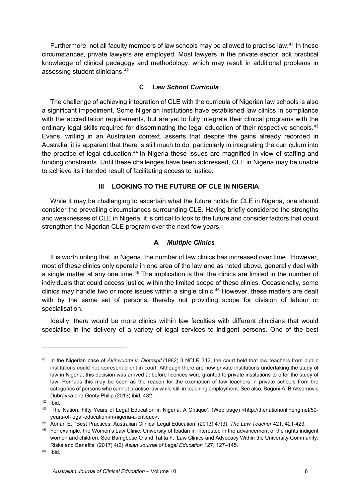Furthermore, not all faculty members of law schools may be allowed to practise law.<sup>[41](#page-6-0)</sup> In these circumstances, private lawyers are employed. Most lawyers in the private sector lack practical knowledge of clinical pedagogy and methodology, which may result in additional problems in assessing student clinicians. [42](#page-6-1)

## **C** *Law School Curricula*

The challenge of achieving integration of CLE with the curricula of Nigerian law schools is also a significant impediment. Some Nigerian institutions have established law clinics in compliance with the accreditation requirements, but are yet to fully integrate their clinical programs with the ordinary legal skills required for disseminating the legal education of their respective schools.<sup>[43](#page-6-2)</sup> Evans, writing in an Australian context, asserts that despite the gains already recorded in Australia, it is apparent that there is still much to do, particularly in integrating the curriculum into the practice of legal education.<sup>[44](#page-6-3)</sup> In Nigeria these issues are magnified in view of staffing and funding constraints. Until these challenges have been addressed, CLE in Nigeria may be unable to achieve its intended result of facilitating access to justice.

## **III LOOKING TO THE FUTURE OF CLE IN NIGERIA**

While it may be challenging to ascertain what the future holds for CLE in Nigeria, one should consider the prevailing circumstances surrounding CLE. Having briefly considered the strengths and weaknesses of CLE in Nigeria; it is critical to look to the future and consider factors that could strengthen the Nigerian CLE program over the next few years.

## **A** *Multiple Clinics*

It is worth noting that, in Nigeria, the number of law clinics has increased over time. However, most of these clinics only operate in one area of the law and as noted above, generally deal with a single matter at any one time.<sup>[45](#page-6-4)</sup> The implication is that the clinics are limited in the number of individuals that could access justice within the limited scope of these clinics. Occasionally, some clinics may handle two or more issues within a single clinic. [46](#page-6-5) However, these matters are dealt with by the same set of persons, thereby not providing scope for division of labour or specialisation.

Ideally, there would be more clinics within law faculties with different clinicians that would specialise in the delivery of a variety of legal services to indigent persons. One of the best

<span id="page-6-0"></span><sup>41</sup> In the Nigerian case of *Akinwunmi v. Dietespif* (1982) 3 NCLR 342, the court held that law teachers from public institutions could not represent client in court. Although there are now private institutions undertaking the study of law in Nigeria, this decision was arrived at before licences were granted to private institutions to offer the study of law. Perhaps this may be seen as the reason for the exemption of law teachers in private schools from the categories of persons who cannot practise law while still in teaching employment. See also, Bagoni A. B Aksamovic Dubravka and Genty Philip (2013) ibid*,* 432.

<span id="page-6-1"></span><sup>42</sup> Ibid.

<span id="page-6-2"></span><sup>43</sup> 'The Nation, Fifty Years of Legal Education in Nigeria: A Critique', (Web page) <http://thenationonlineng.net/50 years-of-legal-education-in-nigeria-a-critique>.

<span id="page-6-3"></span><sup>44</sup> Adrian E. 'Best Practices: Australian Clinical Legal Education' (2013) 47(3), *The Law Teacher* 421, 421-423.

<span id="page-6-4"></span><sup>&</sup>lt;sup>45</sup> For example, the Women's Law Clinic, University of Ibadan in interested in the advancement of the rights indigent women and children. See Bamgbose O and Tafita F, 'Law Clinics and Advocacy Within the University Community: Risks and Benefits' (2017) 4(2) *Asian Journal of Legal Education* 127, 127–145.

<span id="page-6-5"></span><sup>46</sup> Ibid.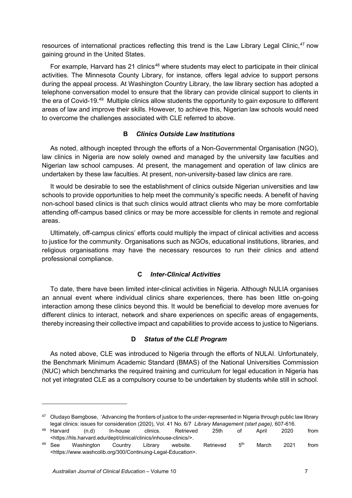resources of international practices reflecting this trend is the Law Library Legal Clinic,<sup>[47](#page-7-0)</sup> now gaining ground in the United States.

For example, Harvard has 21 clinics<sup>[48](#page-7-1)</sup> where students may elect to participate in their clinical activities. The Minnesota County Library, for instance, offers legal advice to support persons during the appeal process. At Washington Country Library, the law library section has adopted a telephone conversation model to ensure that the library can provide clinical support to clients in the era of Covid-19.<sup>[49](#page-7-2)</sup> Multiple clinics allow students the opportunity to gain exposure to different areas of law and improve their skills. However, to achieve this, Nigerian law schools would need to overcome the challenges associated with CLE referred to above.

## **B** *Clinics Outside Law Institutions*

As noted, although incepted through the efforts of a Non-Governmental Organisation (NGO), law clinics in Nigeria are now solely owned and managed by the university law faculties and Nigerian law school campuses. At present, the management and operation of law clinics are undertaken by these law faculties. At present, non-university-based law clinics are rare.

It would be desirable to see the establishment of clinics outside Nigerian universities and law schools to provide opportunities to help meet the community's specific needs. A benefit of having non-school based clinics is that such clinics would attract clients who may be more comfortable attending off-campus based clinics or may be more accessible for clients in remote and regional areas.

Ultimately, off-campus clinics' efforts could multiply the impact of clinical activities and access to justice for the community. Organisations such as NGOs, educational institutions, libraries, and religious organisations may have the necessary resources to run their clinics and attend professional compliance.

## **C** *Inter-Clinical Activities*

To date, there have been limited inter-clinical activities in Nigeria. Although NULIA organises an annual event where individual clinics share experiences, there has been little on-going interaction among these clinics beyond this. It would be beneficial to develop more avenues for different clinics to interact, network and share experiences on specific areas of engagements, thereby increasing their collective impact and capabilities to provide access to justice to Nigerians.

## **D** *Status of the CLE Program*

As noted above, CLE was introduced to Nigeria through the efforts of NULAI. Unfortunately, the Benchmark Minimum Academic Standard (BMAS) of the National Universities Commission (NUC) which benchmarks the required training and curriculum for legal education in Nigeria has not yet integrated CLE as a compulsory course to be undertaken by students while still in school.

<span id="page-7-0"></span><sup>&</sup>lt;sup>47</sup> [Oludayo Bamgbose,](https://www.emerald.com/insight/search?q=Oludayo%20John%20Bamgbose) 'Advancing the frontiers of justice to the under-represented in Nigeria through public law library

<span id="page-7-2"></span><span id="page-7-1"></span>legal clinics: issues for consideration (2020), Vol. 41 No. 6/7 *[Library Management](https://www.emerald.com/insight/publication/issn/0143-5124) (start page),* 607-616.  $^{48}$  Harvard  $($ n.d $)$  In-house clinics. Retrieved 25th of April 2020 from <https://hls.harvard.edu/dept/clinical/clinics/inhouse-clinics/>.  $^{49}$  See  $\,$  Washington  $\,$  Country Library website. Retrieved  $\,5^{th}$  March 2021 from <https://www.washcolib.org/300/Continuing-Legal-Education>.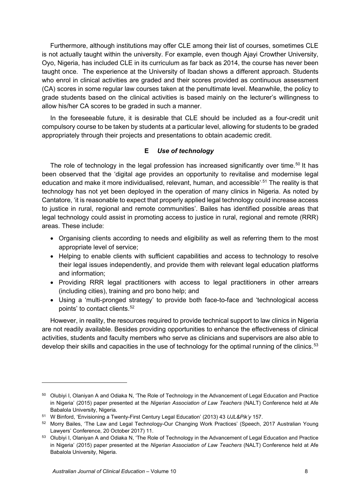Furthermore, although institutions may offer CLE among their list of courses, sometimes CLE is not actually taught within the university. For example, even though Ajayi Crowther University, Oyo, Nigeria, has included CLE in its curriculum as far back as 2014, the course has never been taught once. The experience at the University of Ibadan shows a different approach. Students who enrol in clinical activities are graded and their scores provided as continuous assessment (CA) scores in some regular law courses taken at the penultimate level. Meanwhile, the policy to grade students based on the clinical activities is based mainly on the lecturer's willingness to allow his/her CA scores to be graded in such a manner.

In the foreseeable future, it is desirable that CLE should be included as a four-credit unit compulsory course to be taken by students at a particular level, allowing for students to be graded appropriately through their projects and presentations to obtain academic credit.

## **E** *Use of technology*

The role of technology in the legal profession has increased significantly over time.<sup>[50](#page-8-0)</sup> It has been observed that the 'digital age provides an opportunity to revitalise and modernise legal education and make it more individualised, relevant, human, and accessible'<sup>.[51](#page-8-1)</sup> The reality is that technology has not yet been deployed in the operation of many clinics in Nigeria. As noted by Cantatore, 'it is reasonable to expect that properly applied legal technology could increase access to justice in rural, regional and remote communities'. Bailes has identified possible areas that legal technology could assist in promoting access to justice in rural, regional and remote (RRR) areas. These include:

- Organising clients according to needs and eligibility as well as referring them to the most appropriate level of service;
- Helping to enable clients with sufficient capabilities and access to technology to resolve their legal issues independently, and provide them with relevant legal education platforms and information;
- Providing RRR legal practitioners with access to legal practitioners in other arrears (including cities), training and pro bono help; and
- Using a 'multi-pronged strategy' to provide both face-to-face and 'technological access points' to contact clients. [52](#page-8-2)

However, in reality, the resources required to provide technical support to law clinics in Nigeria are not readily available. Besides providing opportunities to enhance the effectiveness of clinical activities, students and faculty members who serve as clinicians and supervisors are also able to develop their skills and capacities in the use of technology for the optimal running of the clinics.<sup>[53](#page-8-3)</sup>

<span id="page-8-0"></span><sup>50</sup> Olubiyi I, Olaniyan A and Odiaka N, 'The Role of Technology in the Advancement of Legal Education and Practice in Nigeria' (2015) paper presented at the *Nigerian Association of Law Teachers* (NALT) Conference held at Afe Babalola University, Nigeria.

<span id="page-8-2"></span><span id="page-8-1"></span><sup>&</sup>lt;sup>51</sup> W Binford, 'Envisioning a Twenty-First Century Legal Education' (2013) 43 *UJL&Pik'y* 157.<br><sup>52</sup> Morry Bailes, 'The Law and Legal Technology-Our Changing Work Practices' (Speech, 2017 Australian Young Lawyers' Conference, 20 October 2017) 11.

<span id="page-8-3"></span><sup>53</sup> Olubiyi I, Olaniyan A and Odiaka N, 'The Role of Technology in the Advancement of Legal Education and Practice in Nigeria' (2015) paper presented at the *Nigerian Association of Law Teachers* (NALT) Conference held at Afe Babalola University, Nigeria.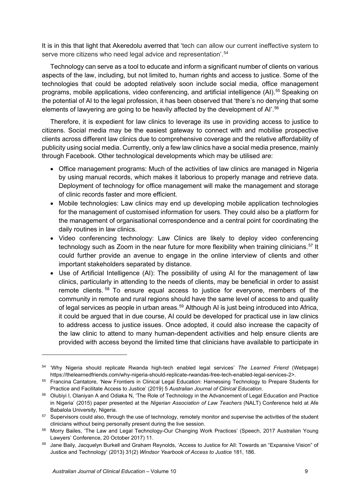It is in this that light that Akeredolu averred that 'tech can allow our current ineffective system to serve more citizens who need legal advice and representation'.<sup>[54](#page-9-0)</sup>

Technology can serve as a tool to educate and inform a significant number of clients on various aspects of the law, including, but not limited to, human rights and access to justice. Some of the technologies that could be adopted relatively soon include social media, office management programs, mobile applications, video conferencing, and artificial intelligence (AI). [55](#page-9-1) Speaking on the potential of AI to the legal profession, it has been observed that 'there's no denying that some elements of lawyering are going to be heavily affected by the development of AI'.<sup>[56](#page-9-2)</sup>

Therefore, it is expedient for law clinics to leverage its use in providing access to justice to citizens. Social media may be the easiest gateway to connect with and mobilise prospective clients across different law clinics due to comprehensive coverage and the relative affordability of publicity using social media. Currently, only a few law clinics have a social media presence, mainly through Facebook. Other technological developments which may be utilised are:

- Office management programs: Much of the activities of law clinics are managed in Nigeria by using manual records, which makes it laborious to properly manage and retrieve data. Deployment of technology for office management will make the management and storage of clinic records faster and more efficient.
- Mobile technologies: Law clinics may end up developing mobile application technologies for the management of customised information for users. They could also be a platform for the management of organisational correspondence and a central point for coordinating the daily routines in law clinics.
- Video conferencing technology: Law Clinics are likely to deploy video conferencing technology such as Zoom in the near future for more flexibility when training clinicians.<sup>[57](#page-9-3)</sup> It could further provide an avenue to engage in the online interview of clients and other important stakeholders separated by distance.
- Use of Artificial Intelligence (AI): The possibility of using AI for the management of law clinics, particularly in attending to the needs of clients, may be beneficial in order to assist remote clients. [58](#page-9-4) To ensure equal access to justice for everyone, members of the community in remote and rural regions should have the same level of access to and quality of legal services as people in urban areas. [59](#page-9-5) Although AI is just being introduced into Africa, it could be argued that in due course, AI could be developed for practical use in law clinics to address access to justice issues. Once adopted, it could also increase the capacity of the law clinic to attend to many human-dependent activities and help ensure clients are provided with access beyond the limited time that clinicians have available to participate in

<span id="page-9-0"></span><sup>54</sup> 'Why Nigeria should replicate Rwanda high-tech enabled legal services' *The Learned Friend* (Webpage) https://thelearnedfriends.com/why-nigeria-should-replicate-rwandas-free-tech-enabled-legal-services-2>.

<span id="page-9-1"></span><sup>55</sup> Francina Cantatore, 'New Frontiers in Clinical Legal Education: Harnessing Technology to Prepare Students for Practice and Facilitate Access to Justice' (2019) 5 *Australian Journal of Clinical Education.*

<span id="page-9-2"></span><sup>56</sup> Olubiyi I, Olaniyan A and Odiaka N, 'The Role of Technology in the Advancement of Legal Education and Practice in Nigeria' (2015) paper presented at the *Nigerian Association of Law Teachers* (NALT) Conference held at Afe Babalola University, Nigeria.

<span id="page-9-3"></span><sup>&</sup>lt;sup>57</sup> Supervisors could also, through the use of technology, remotely monitor and supervise the activities of the student clinicians without being personally present during the live session. 58 Morry Bailes, 'The Law and Legal Technology-Our Changing Work Practices' (Speech, 2017 Australian Young

<span id="page-9-4"></span>Lawyers' Conference, 20 October 2017) 11.

<span id="page-9-5"></span><sup>59</sup> Jane Baily, Jacquelyn Burkell and Graham Reynolds, 'Access to Justice for All: Towards an "Expansive Vision" of Justice and Technology' (2013) 31(2) *Windsor Yearbook of Access to Justice* 181, 186.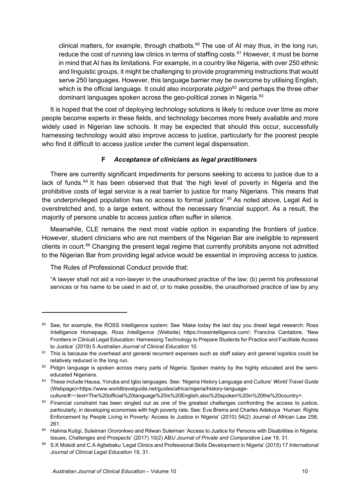clinical matters, for example, through chatbots. [60](#page-10-0) The use of AI may thus, in the long run, reduce the cost of running law clinics in terms of staffing costs.<sup>[61](#page-10-1)</sup> However, it must be borne in mind that AI has its limitations. For example, in a country like Nigeria, with over 250 ethnic and linguistic groups, it might be challenging to provide programming instructions that would serve 250 languages. However, this language barrier may be overcome by utilising English, which is the official language. It could also incorporate *pidgin*<sup>[62](#page-10-2)</sup> and perhaps the three other dominant languages spoken across the geo-political zones in Nigeria.<sup>[63](#page-10-3)</sup>

It is hoped that the cost of deploying technology solutions is likely to reduce over time as more people become experts in these fields, and technology becomes more freely available and more widely used in Nigerian law schools. It may be expected that should this occur, successfully harnessing technology would also improve access to justice, particularly for the poorest people who find it difficult to access justice under the current legal dispensation.

# **F** *Acceptance of clinicians as legal practitioners*

There are currently significant impediments for persons seeking to access to justice due to a lack of funds.<sup>[64](#page-10-4)</sup> It has been observed that that 'the high level of poverty in Nigeria and the prohibitive costs of legal service is a real barrier to justice for many Nigerians. This means that the underprivileged population has no access to formal justice'. [65](#page-10-5) As noted above, Legal Aid is overstretched and, to a large extent, without the necessary financial support. As a result, the majority of persons unable to access justice often suffer in silence.

Meanwhile, CLE remains the next most viable option in expanding the frontiers of justice. However, student clinicians who are not members of the Nigerian Bar are ineligible to represent clients in court.<sup>[66](#page-10-6)</sup> Changing the present legal regime that currently prohibits anyone not admitted to the Nigerian Bar from providing legal advice would be essential in improving access to justice.

The Rules of Professional Conduct provide that:

"A lawyer shall not aid a non-lawyer in the unauthorised practice of the law; (b) permit his professional services or his name to be used in aid of, or to make possible, the unauthorised practice of law by any

<span id="page-10-0"></span><sup>&</sup>lt;sup>60</sup> See, for example, the ROSS Intelligence system: See 'Make today the last day you dread legal research: Ross Intelligence Homepage, *Ross Intelligence* (Website) [https://rossintelligence.com/;](https://rossintelligence.com/) Francina Cantatore, 'New Frontiers in Clinical Legal Education: Harnessing Technology to Prepare Students for Practice and Facilitate Access to Justice' (2019) 5 *Australian Journal of Clinical Education* 10.

<span id="page-10-1"></span><sup>&</sup>lt;sup>61</sup> This is because the overhead and general recurrent expenses such as staff salary and general logistics could be relatively reduced in the long run.

<span id="page-10-2"></span><sup>&</sup>lt;sup>62</sup> Pidgin language is spoken across many parts of Nigeria. Spoken mainly by the highly educated and the semieducated Nigerians.

<span id="page-10-3"></span><sup>63</sup> These include Hausa, Yoruba and Igbo languages. See: 'Nigeria History Language and Culture' *World Travel Guide* (Webpage)<https://www.worldtravelguide.net/guides/africa/nigeria/history-languageculture/#:~:text=The%20official%20language%20is%20English,also%20spoken%20in%20the%20country>.

<span id="page-10-4"></span><sup>&</sup>lt;sup>64</sup> Financial constraint has been singled out as one of the greatest challenges confronting the access to justice, particularly, in developing economies with high poverty rate. See: Eva Brems and Charles Adekoya 'Human Rights Enforcement by People Living in Poverty: Access to Justice in Nigeria' (2010) 54(2) Journal of African Law 258, 261.

<span id="page-10-5"></span><sup>65</sup> Halima Kutigi, Suleiman Ororonkwo and Rilwan Suleiman 'Access to Justice for Persons with Disabilities in Nigeria: Issues, Challenges and Prospects' (2017) 10(2) AB*U Journal of Private and Comparative Law* 19, 31.

<span id="page-10-6"></span><sup>66</sup> S.K Mokidi and C.A Agbebaku 'Legal Clinics and Professional Skills Development in Nigeria' (2015) 17 *International Journal of Clinical Legal Education* 19, 31.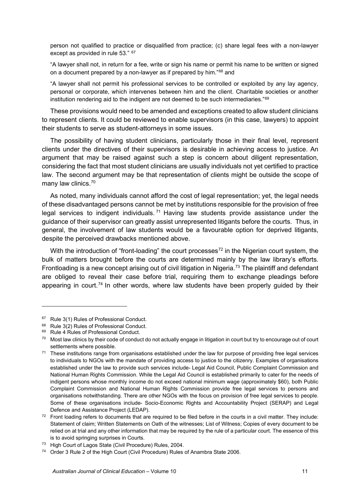person not qualified to practice or disqualified from practice; (c) share legal fees with a non-lawyer except as provided in rule 53." [67](#page-11-0)

"A lawyer shall not, in return for a fee, write or sign his name or permit his name to be written or signed on a document prepared by a non-lawyer as if prepared by him."[68](#page-11-1) and

"A lawyer shall not permit his professional services to be controlled or exploited by any lay agency, personal or corporate, which intervenes between him and the client. Charitable societies or another institution rendering aid to the indigent are not deemed to be such intermediaries."[69](#page-11-2)

These provisions would need to be amended and exceptions created to allow student clinicians to represent clients. It could be reviewed to enable supervisors (in this case, lawyers) to appoint their students to serve as student-attorneys in some issues.

The possibility of having student clinicians, particularly those in their final level, represent clients under the directives of their supervisors is desirable in achieving access to justice. An argument that may be raised against such a step is concern about diligent representation, considering the fact that most student clinicians are usually individuals not yet certified to practice law. The second argument may be that representation of clients might be outside the scope of many law clinics.<sup>[70](#page-11-3)</sup>

As noted, many individuals cannot afford the cost of legal representation; yet, the legal needs of these disadvantaged persons cannot be met by institutions responsible for the provision of free legal services to indigent individuals.<sup>[71](#page-11-4)</sup> Having law students provide assistance under the guidance of their supervisor can greatly assist unrepresented litigants before the courts. Thus, in general, the involvement of law students would be a favourable option for deprived litigants, despite the perceived drawbacks mentioned above.

With the introduction of "front-loading" the court processes<sup>[72](#page-11-5)</sup> in the Nigerian court system, the bulk of matters brought before the courts are determined mainly by the law library's efforts. Frontloading is a new concept arising out of civil litigation in Nigeria.<sup>[73](#page-11-6)</sup> The plaintiff and defendant are obliged to reveal their case before trial, requiring them to exchange pleadings before appearing in court.<sup>[74](#page-11-7)</sup> In other words, where law students have been properly guided by their

<span id="page-11-0"></span><sup>&</sup>lt;sup>67</sup> Rule 3(1) Rules of Professional Conduct.

<span id="page-11-1"></span><sup>68</sup> Rule 3(2) Rules of Professional Conduct.

<span id="page-11-2"></span><sup>&</sup>lt;sup>69</sup> Rule 4 Rules of Professional Conduct.

<span id="page-11-3"></span><sup>&</sup>lt;sup>70</sup> Most law clinics by their code of conduct do not actually engage in litigation in court but try to encourage out of court settlements where possible.<br><sup>71</sup> These institutions range from organisations established under the law for purpose of providing free legal services

<span id="page-11-4"></span>to individuals to NGOs with the mandate of providing access to justice to the citizenry. Examples of organisations established under the law to provide such services include- Legal Aid Council, Public Complaint Commission and National Human Rights Commission. While the Legal Aid Council is established primarily to cater for the needs of indigent persons whose monthly income do not exceed national minimum wage (approximately \$60), both Public Complaint Commission and National Human Rights Commission provide free legal services to persons and organisations notwithstanding. There are other NGOs with the focus on provision of free legal services to people. Some of these organisations include- Socio-Economic Rights and Accountability Project (SERAP) and Legal Defence and Assistance Project (LEDAP).

<span id="page-11-5"></span> $72$  Front loading refers to documents that are required to be filed before in the courts in a civil matter. They include: Statement of claim; Written Statements on Oath of the witnesses; List of Witness; Copies of every document to be relied on at trial and any other information that may be required by the rule of a particular court. The essence of this is to avoid springing surprises in Courts.

<span id="page-11-6"></span><sup>73</sup> High Court of Lagos State (Civil Procedure) Rules, 2004.

<span id="page-11-7"></span><sup>74</sup> Order 3 Rule 2 of the High Court (Civil Procedure) Rules of Anambra State 2006.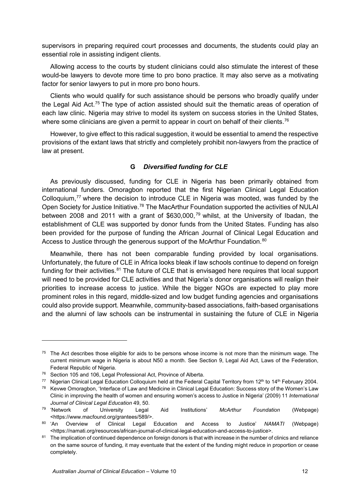supervisors in preparing required court processes and documents, the students could play an essential role in assisting indigent clients.

Allowing access to the courts by student clinicians could also stimulate the interest of these would-be lawyers to devote more time to pro bono practice. It may also serve as a motivating factor for senior lawyers to put in more pro bono hours.

Clients who would qualify for such assistance should be persons who broadly qualify under the Legal Aid Act.<sup>[75](#page-12-0)</sup> The type of action assisted should suit the thematic areas of operation of each law clinic. Nigeria may strive to model its system on success stories in the United States, where some clinicians are given a permit to appear in court on behalf of their clients.<sup>[76](#page-12-1)</sup>

However, to give effect to this radical suggestion, it would be essential to amend the respective provisions of the extant laws that strictly and completely prohibit non-lawyers from the practice of law at present.

## **G** *Diversified funding for CLE*

As previously discussed, funding for CLE in Nigeria has been primarily obtained from international funders. Omoragbon reported that the first Nigerian Clinical Legal Education Colloquium,<sup>[77](#page-12-2)</sup> where the decision to introduce CLE in Nigeria was mooted, was funded by the Open Society for Justice Initiative.<sup>[78](#page-12-3)</sup> The MacArthur Foundation supported the activities of NULAI between 2008 and 2011 with a grant of \$630,000,<sup>[79](#page-12-4)</sup> whilst, at the University of Ibadan, the establishment of CLE was supported by donor funds from the United States. Funding has also been provided for the purpose of funding the African Journal of Clinical Legal Education and Access to Justice through the generous support of the McArthur Foundation.<sup>[80](#page-12-5)</sup>

Meanwhile, there has not been comparable funding provided by local organisations. Unfortunately, the future of CLE in Africa looks bleak if law schools continue to depend on foreign funding for their activities.<sup>[81](#page-12-6)</sup> The future of CLE that is envisaged here requires that local support will need to be provided for CLE activities and that Nigeria's donor organisations will realign their priorities to increase access to justice. While the bigger NGOs are expected to play more prominent roles in this regard, middle-sized and low budget funding agencies and organisations could also provide support. Meanwhile, community-based associations, faith-based organisations and the alumni of law schools can be instrumental in sustaining the future of CLE in Nigeria

<span id="page-12-0"></span> $75$  The Act describes those eligible for aids to be persons whose income is not more than the minimum wage. The current minimum wage in Nigeria is about N50 a month. See Section 9, Legal Aid Act, Laws of the Federation, Federal Republic of Nigeria.

<span id="page-12-1"></span><sup>76</sup> Section 105 and 106, Legal Professional Act, Province of Alberta.

<span id="page-12-2"></span><sup>&</sup>lt;sup>77</sup> Nigerian Clinical Legal Education Colloquium held at the Federal Capital Territory from 12<sup>th</sup> to 14<sup>th</sup> February 2004.

<span id="page-12-3"></span><sup>&</sup>lt;sup>78</sup> Kevwe Omoragbon, 'Interface of Law and Medicine in Clinical Legal Education: Success story of the Women's Law Clinic in improving the health of women and ensuring women's access to Justice in Nigeria' (2009) 11 *International Journal of Clinical Legal Education* 49, 50.

<span id="page-12-4"></span><sup>79</sup> 'Network of University Legal Aid Institutions' *McArthur Foundation* (Webpage) <https://www.macfound.org/grantees/589/>. 80 'An Overview of Clinical Legal Education and Access to Justice' *NAMATI* (Webpage)

<span id="page-12-5"></span><sup>&</sup>lt;https://namati.org/resources/african-journal-of-clinical-legal-education-and-access-to-justice>. 81 The implication of continued dependence on foreign donors is that with increase in the number of clinics and reliance

<span id="page-12-6"></span>on the same source of funding, it may eventuate that the extent of the funding might reduce in proportion or cease completely.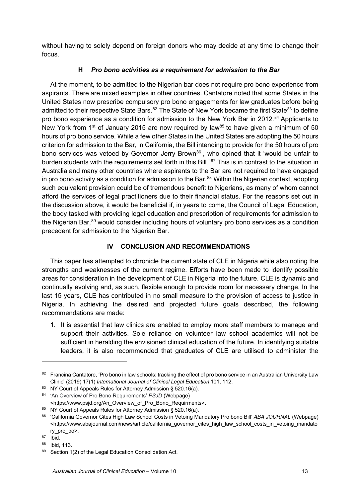without having to solely depend on foreign donors who may decide at any time to change their focus.

## **H** *Pro bono activities as a requirement for admission to the Bar*

At the moment, to be admitted to the Nigerian bar does not require pro bono experience from aspirants. There are mixed examples in other countries. Cantatore noted that some States in the United States now prescribe compulsory pro bono engagements for law graduates before being admitted to their respective State Bars.<sup>[82](#page-13-0)</sup> The State of New York became the first State<sup>[83](#page-13-1)</sup> to define pro bono experience as a condition for admission to the New York Bar in 2012.<sup>[84](#page-13-2)</sup> Applicants to New York from 1<sup>st</sup> of January 2015 are now required by law<sup>[85](#page-13-3)</sup> to have given a minimum of 50 hours of pro bono service. While a few other States in the United States are adopting the 50 hours criterion for admission to the Bar, in California, the Bill intending to provide for the 50 hours of pro bono services was vetoed by Governor Jerry Brown<sup>[86](#page-13-4)</sup>, who opined that it 'would be unfair to burden students with the requirements set forth in this Bill."<sup>[87](#page-13-5)</sup> This is in contrast to the situation in Australia and many other countries where aspirants to the Bar are not required to have engaged in pro bono activity as a condition for admission to the Bar. $^{88}$  $^{88}$  $^{88}$  Within the Nigerian context, adopting such equivalent provision could be of tremendous benefit to Nigerians, as many of whom cannot afford the services of legal practitioners due to their financial status. For the reasons set out in the discussion above, it would be beneficial if, in years to come, the Council of Legal Education, the body tasked with providing legal education and prescription of requirements for admission to the Nigerian Bar, [89](#page-13-7) would consider including hours of voluntary pro bono services as a condition precedent for admission to the Nigerian Bar.

# **IV CONCLUSION AND RECOMMENDATIONS**

This paper has attempted to chronicle the current state of CLE in Nigeria while also noting the strengths and weaknesses of the current regime. Efforts have been made to identify possible areas for consideration in the development of CLE in Nigeria into the future. CLE is dynamic and continually evolving and, as such, flexible enough to provide room for necessary change. In the last 15 years, CLE has contributed in no small measure to the provision of access to justice in Nigeria. In achieving the desired and projected future goals described, the following recommendations are made:

1. It is essential that law clinics are enabled to employ more staff members to manage and support their activities. Sole reliance on volunteer law school academics will not be sufficient in heralding the envisioned clinical education of the future. In identifying suitable leaders, it is also recommended that graduates of CLE are utilised to administer the

<span id="page-13-0"></span><sup>82</sup> Francina Cantatore, 'Pro bono in law schools: tracking the effect of pro bono service in an Australian University Law Clinic' (2019) 17(1) *International Journal of Clinical Legal Education* 101, 112.

<span id="page-13-1"></span><sup>83</sup> [NY Court of Appeals Rules for Attorney Admission § 520.16\(a\).](http://www.nycourts.gov/ctapps/520rules10.htm#B16)

<span id="page-13-2"></span><sup>84</sup> 'An Overview of Pro Bono Requirements' *PSJD* (Webpage) <https://www.psjd.org/An\_Overview\_of\_Pro\_Bono\_Requirments>.

<span id="page-13-3"></span><sup>85</sup> [NY Court of Appeals Rules for Attorney Admission § 520.16\(a\).](http://www.nycourts.gov/ctapps/520rules10.htm#B16)

<span id="page-13-4"></span><sup>86</sup> 'California Governor Cites High Law School Costs in Vetoing Mandatory Pro bono Bill' *ABA JOURNAL* (Webpage) <https://www.abajournal.com/news/article/california\_governor\_cites\_high\_law\_school\_costs\_in\_vetoing\_mandato ry\_pro\_bo>. 87 Ibid.

<span id="page-13-5"></span>

<span id="page-13-6"></span><sup>88</sup> Ibid, 113.

<span id="page-13-7"></span>Section 1(2) of the Legal Education Consolidation Act.